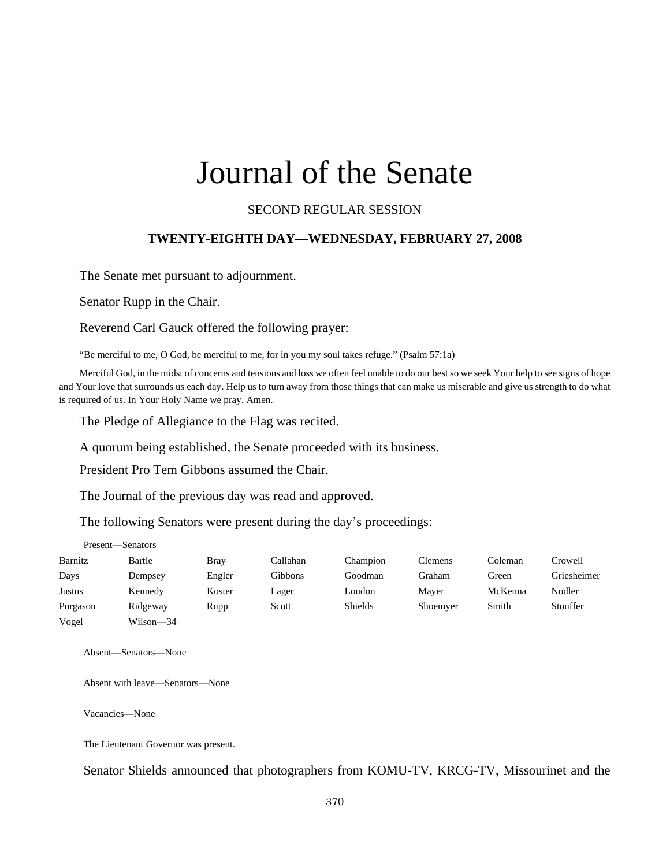# Journal of the Senate

SECOND REGULAR SESSION

# **TWENTY-EIGHTH DAY—WEDNESDAY, FEBRUARY 27, 2008**

The Senate met pursuant to adjournment.

Senator Rupp in the Chair.

Reverend Carl Gauck offered the following prayer:

"Be merciful to me, O God, be merciful to me, for in you my soul takes refuge." (Psalm 57:1a)

Merciful God, in the midst of concerns and tensions and loss we often feel unable to do our best so we seek Your help to see signs of hope and Your love that surrounds us each day. Help us to turn away from those things that can make us miserable and give us strength to do what is required of us. In Your Holy Name we pray. Amen.

The Pledge of Allegiance to the Flag was recited.

A quorum being established, the Senate proceeded with its business.

President Pro Tem Gibbons assumed the Chair.

The Journal of the previous day was read and approved.

The following Senators were present during the day's proceedings:

| Present-Senators |           |        |          |          |          |         |             |
|------------------|-----------|--------|----------|----------|----------|---------|-------------|
| Barnitz          | Bartle    | Bray   | Callahan | Champion | Clemens  | Coleman | Crowell     |
| Days             | Dempsey   | Engler | Gibbons  | Goodman  | Graham   | Green   | Griesheimer |
| Justus           | Kennedy   | Koster | Lager    | Loudon   | Maver    | McKenna | Nodler      |
| Purgason         | Ridgeway  | Rupp   | Scott    | Shields  | Shoemyer | Smith   | Stouffer    |
| Vogel            | Wilson—34 |        |          |          |          |         |             |

Absent—Senators—None

Absent with leave—Senators—None

Vacancies—None

The Lieutenant Governor was present.

Senator Shields announced that photographers from KOMU-TV, KRCG-TV, Missourinet and the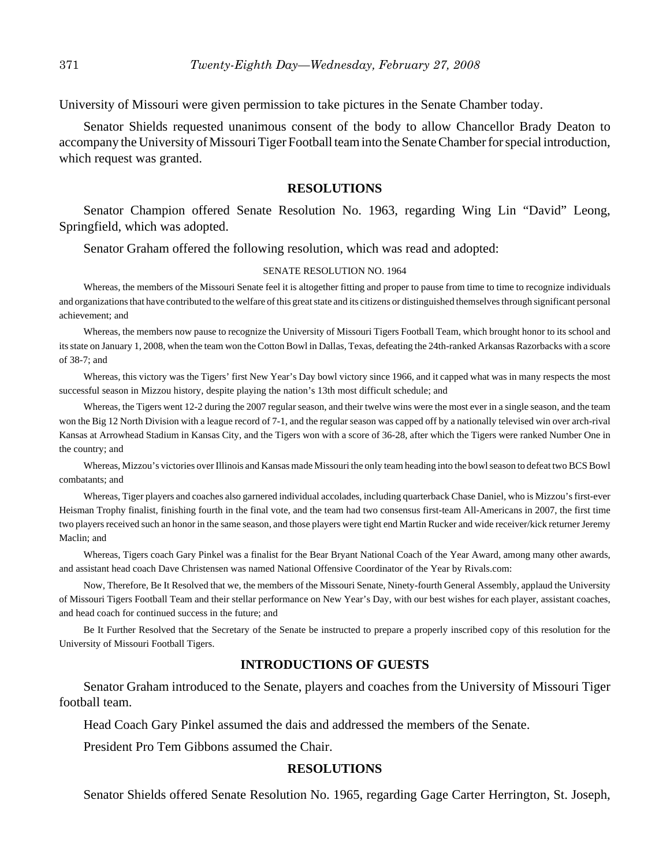University of Missouri were given permission to take pictures in the Senate Chamber today.

Senator Shields requested unanimous consent of the body to allow Chancellor Brady Deaton to accompany the University of Missouri Tiger Football team into the Senate Chamber for special introduction, which request was granted.

#### **RESOLUTIONS**

Senator Champion offered Senate Resolution No. 1963, regarding Wing Lin "David" Leong, Springfield, which was adopted.

Senator Graham offered the following resolution, which was read and adopted:

#### SENATE RESOLUTION NO. 1964

Whereas, the members of the Missouri Senate feel it is altogether fitting and proper to pause from time to time to recognize individuals and organizations that have contributed to the welfare of this great state and its citizens or distinguished themselves through significant personal achievement; and

Whereas, the members now pause to recognize the University of Missouri Tigers Football Team, which brought honor to its school and its state on January 1, 2008, when the team won the Cotton Bowl in Dallas, Texas, defeating the 24th-ranked Arkansas Razorbacks with a score of 38-7; and

Whereas, this victory was the Tigers' first New Year's Day bowl victory since 1966, and it capped what was in many respects the most successful season in Mizzou history, despite playing the nation's 13th most difficult schedule; and

Whereas, the Tigers went 12-2 during the 2007 regular season, and their twelve wins were the most ever in a single season, and the team won the Big 12 North Division with a league record of 7-1, and the regular season was capped off by a nationally televised win over arch-rival Kansas at Arrowhead Stadium in Kansas City, and the Tigers won with a score of 36-28, after which the Tigers were ranked Number One in the country; and

Whereas, Mizzou's victories over Illinois and Kansas made Missouri the only team heading into the bowl season to defeat two BCS Bowl combatants; and

Whereas, Tiger players and coaches also garnered individual accolades, including quarterback Chase Daniel, who is Mizzou's first-ever Heisman Trophy finalist, finishing fourth in the final vote, and the team had two consensus first-team All-Americans in 2007, the first time two players received such an honor in the same season, and those players were tight end Martin Rucker and wide receiver/kick returner Jeremy Maclin; and

Whereas, Tigers coach Gary Pinkel was a finalist for the Bear Bryant National Coach of the Year Award, among many other awards, and assistant head coach Dave Christensen was named National Offensive Coordinator of the Year by Rivals.com:

Now, Therefore, Be It Resolved that we, the members of the Missouri Senate, Ninety-fourth General Assembly, applaud the University of Missouri Tigers Football Team and their stellar performance on New Year's Day, with our best wishes for each player, assistant coaches, and head coach for continued success in the future; and

Be It Further Resolved that the Secretary of the Senate be instructed to prepare a properly inscribed copy of this resolution for the University of Missouri Football Tigers.

#### **INTRODUCTIONS OF GUESTS**

Senator Graham introduced to the Senate, players and coaches from the University of Missouri Tiger football team.

Head Coach Gary Pinkel assumed the dais and addressed the members of the Senate.

President Pro Tem Gibbons assumed the Chair.

#### **RESOLUTIONS**

Senator Shields offered Senate Resolution No. 1965, regarding Gage Carter Herrington, St. Joseph,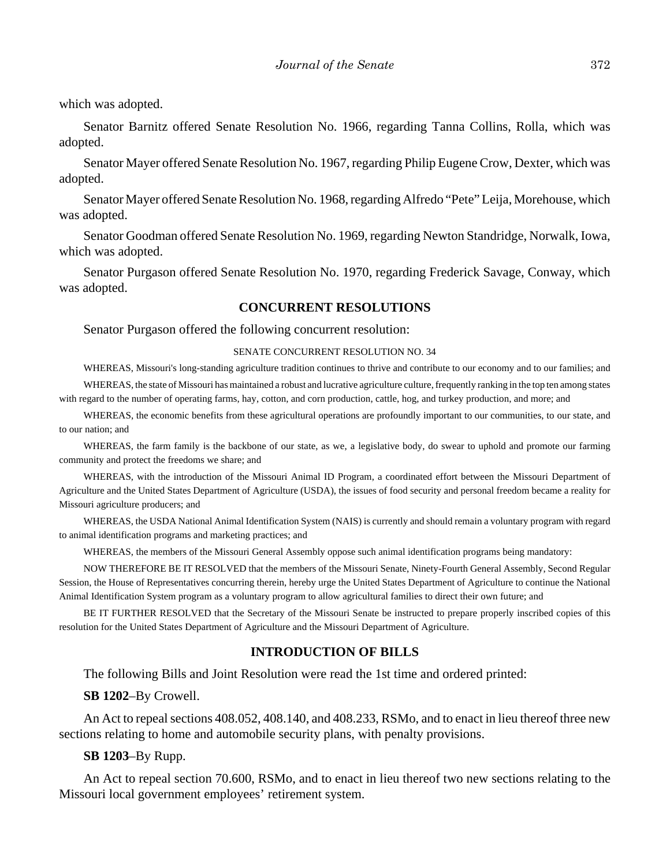which was adopted.

Senator Barnitz offered Senate Resolution No. 1966, regarding Tanna Collins, Rolla, which was adopted.

Senator Mayer offered Senate Resolution No. 1967, regarding Philip Eugene Crow, Dexter, which was adopted.

Senator Mayer offered Senate Resolution No. 1968, regarding Alfredo "Pete" Leija, Morehouse, which was adopted.

Senator Goodman offered Senate Resolution No. 1969, regarding Newton Standridge, Norwalk, Iowa, which was adopted.

Senator Purgason offered Senate Resolution No. 1970, regarding Frederick Savage, Conway, which was adopted.

## **CONCURRENT RESOLUTIONS**

Senator Purgason offered the following concurrent resolution:

#### SENATE CONCURRENT RESOLUTION NO. 34

WHEREAS, Missouri's long-standing agriculture tradition continues to thrive and contribute to our economy and to our families; and WHEREAS, the state of Missouri has maintained a robust and lucrative agriculture culture, frequently ranking in the top ten among states with regard to the number of operating farms, hay, cotton, and corn production, cattle, hog, and turkey production, and more; and

WHEREAS, the economic benefits from these agricultural operations are profoundly important to our communities, to our state, and to our nation; and

WHEREAS, the farm family is the backbone of our state, as we, a legislative body, do swear to uphold and promote our farming community and protect the freedoms we share; and

WHEREAS, with the introduction of the Missouri Animal ID Program, a coordinated effort between the Missouri Department of Agriculture and the United States Department of Agriculture (USDA), the issues of food security and personal freedom became a reality for Missouri agriculture producers; and

WHEREAS, the USDA National Animal Identification System (NAIS) is currently and should remain a voluntary program with regard to animal identification programs and marketing practices; and

WHEREAS, the members of the Missouri General Assembly oppose such animal identification programs being mandatory:

NOW THEREFORE BE IT RESOLVED that the members of the Missouri Senate, Ninety-Fourth General Assembly, Second Regular Session, the House of Representatives concurring therein, hereby urge the United States Department of Agriculture to continue the National Animal Identification System program as a voluntary program to allow agricultural families to direct their own future; and

BE IT FURTHER RESOLVED that the Secretary of the Missouri Senate be instructed to prepare properly inscribed copies of this resolution for the United States Department of Agriculture and the Missouri Department of Agriculture.

#### **INTRODUCTION OF BILLS**

The following Bills and Joint Resolution were read the 1st time and ordered printed:

**SB 1202**–By Crowell.

An Act to repeal sections 408.052, 408.140, and 408.233, RSMo, and to enact in lieu thereof three new sections relating to home and automobile security plans, with penalty provisions.

**SB 1203**–By Rupp.

An Act to repeal section 70.600, RSMo, and to enact in lieu thereof two new sections relating to the Missouri local government employees' retirement system.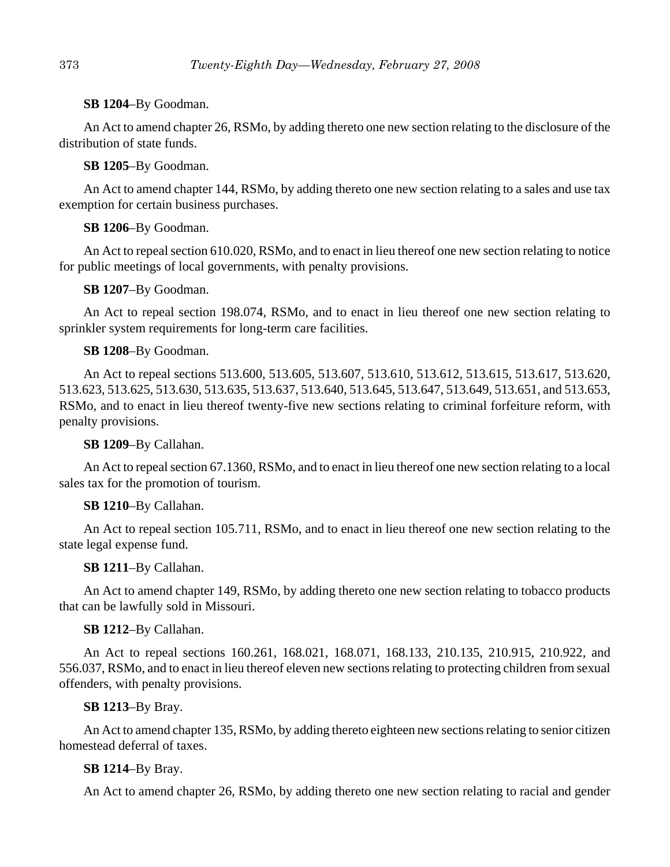# **SB 1204**–By Goodman.

An Act to amend chapter 26, RSMo, by adding thereto one new section relating to the disclosure of the distribution of state funds.

**SB 1205**–By Goodman.

An Act to amend chapter 144, RSMo, by adding thereto one new section relating to a sales and use tax exemption for certain business purchases.

**SB 1206**–By Goodman.

An Act to repeal section 610.020, RSMo, and to enact in lieu thereof one new section relating to notice for public meetings of local governments, with penalty provisions.

**SB 1207**–By Goodman.

An Act to repeal section 198.074, RSMo, and to enact in lieu thereof one new section relating to sprinkler system requirements for long-term care facilities.

# **SB 1208**–By Goodman.

An Act to repeal sections 513.600, 513.605, 513.607, 513.610, 513.612, 513.615, 513.617, 513.620, 513.623, 513.625, 513.630, 513.635, 513.637, 513.640, 513.645, 513.647, 513.649, 513.651, and 513.653, RSMo, and to enact in lieu thereof twenty-five new sections relating to criminal forfeiture reform, with penalty provisions.

**SB 1209**–By Callahan.

An Act to repeal section 67.1360, RSMo, and to enact in lieu thereof one new section relating to a local sales tax for the promotion of tourism.

# **SB 1210**–By Callahan.

An Act to repeal section 105.711, RSMo, and to enact in lieu thereof one new section relating to the state legal expense fund.

# **SB 1211**–By Callahan.

An Act to amend chapter 149, RSMo, by adding thereto one new section relating to tobacco products that can be lawfully sold in Missouri.

# **SB 1212**–By Callahan.

An Act to repeal sections 160.261, 168.021, 168.071, 168.133, 210.135, 210.915, 210.922, and 556.037, RSMo, and to enact in lieu thereof eleven new sections relating to protecting children from sexual offenders, with penalty provisions.

# **SB 1213**–By Bray.

An Act to amend chapter 135, RSMo, by adding thereto eighteen new sections relating to senior citizen homestead deferral of taxes.

# **SB 1214**–By Bray.

An Act to amend chapter 26, RSMo, by adding thereto one new section relating to racial and gender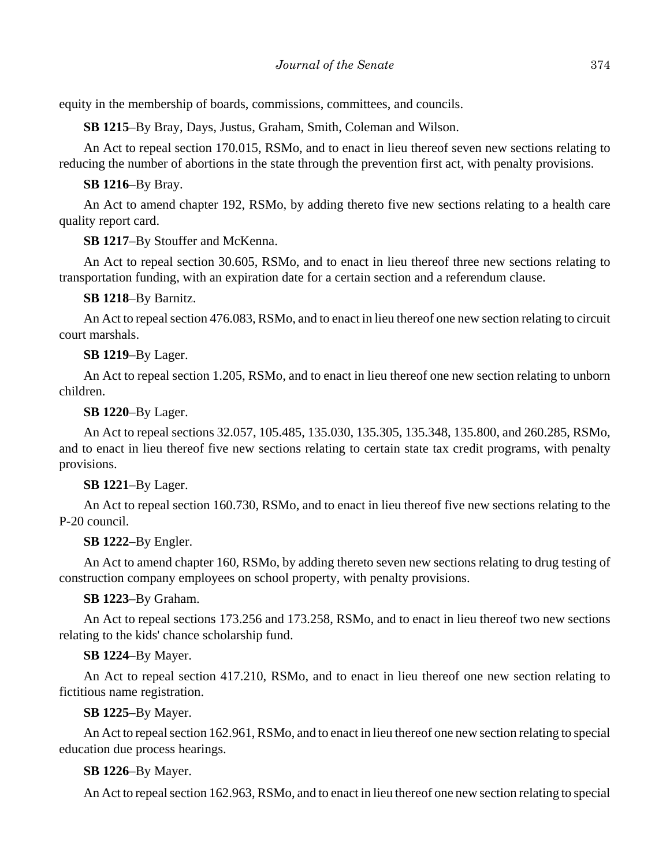equity in the membership of boards, commissions, committees, and councils.

**SB 1215**–By Bray, Days, Justus, Graham, Smith, Coleman and Wilson.

An Act to repeal section 170.015, RSMo, and to enact in lieu thereof seven new sections relating to reducing the number of abortions in the state through the prevention first act, with penalty provisions.

**SB 1216**–By Bray.

An Act to amend chapter 192, RSMo, by adding thereto five new sections relating to a health care quality report card.

**SB 1217**–By Stouffer and McKenna.

An Act to repeal section 30.605, RSMo, and to enact in lieu thereof three new sections relating to transportation funding, with an expiration date for a certain section and a referendum clause.

**SB 1218**–By Barnitz.

An Act to repeal section 476.083, RSMo, and to enact in lieu thereof one new section relating to circuit court marshals.

**SB 1219**–By Lager.

An Act to repeal section 1.205, RSMo, and to enact in lieu thereof one new section relating to unborn children.

**SB 1220**–By Lager.

An Act to repeal sections 32.057, 105.485, 135.030, 135.305, 135.348, 135.800, and 260.285, RSMo, and to enact in lieu thereof five new sections relating to certain state tax credit programs, with penalty provisions.

**SB 1221**–By Lager.

An Act to repeal section 160.730, RSMo, and to enact in lieu thereof five new sections relating to the P-20 council.

**SB 1222**–By Engler.

An Act to amend chapter 160, RSMo, by adding thereto seven new sections relating to drug testing of construction company employees on school property, with penalty provisions.

**SB 1223**–By Graham.

An Act to repeal sections 173.256 and 173.258, RSMo, and to enact in lieu thereof two new sections relating to the kids' chance scholarship fund.

# **SB 1224**–By Mayer.

An Act to repeal section 417.210, RSMo, and to enact in lieu thereof one new section relating to fictitious name registration.

# **SB 1225**–By Mayer.

An Act to repeal section 162.961, RSMo, and to enact in lieu thereof one new section relating to special education due process hearings.

# **SB 1226**–By Mayer.

An Act to repeal section 162.963, RSMo, and to enact in lieu thereof one new section relating to special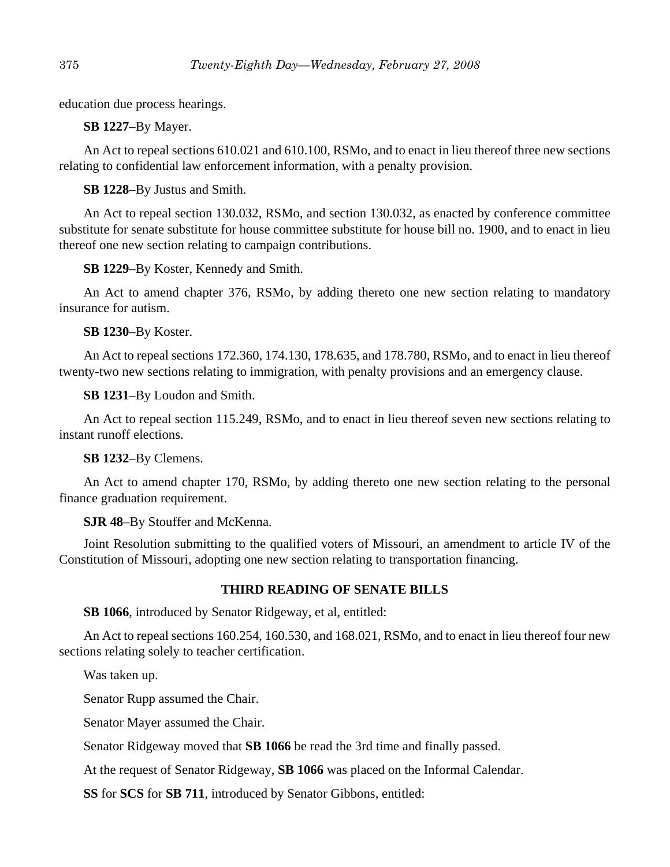education due process hearings.

**SB 1227**–By Mayer.

An Act to repeal sections 610.021 and 610.100, RSMo, and to enact in lieu thereof three new sections relating to confidential law enforcement information, with a penalty provision.

**SB 1228**–By Justus and Smith.

An Act to repeal section 130.032, RSMo, and section 130.032, as enacted by conference committee substitute for senate substitute for house committee substitute for house bill no. 1900, and to enact in lieu thereof one new section relating to campaign contributions.

**SB 1229**–By Koster, Kennedy and Smith.

An Act to amend chapter 376, RSMo, by adding thereto one new section relating to mandatory insurance for autism.

**SB 1230**–By Koster.

An Act to repeal sections 172.360, 174.130, 178.635, and 178.780, RSMo, and to enact in lieu thereof twenty-two new sections relating to immigration, with penalty provisions and an emergency clause.

**SB 1231**–By Loudon and Smith.

An Act to repeal section 115.249, RSMo, and to enact in lieu thereof seven new sections relating to instant runoff elections.

**SB 1232**–By Clemens.

An Act to amend chapter 170, RSMo, by adding thereto one new section relating to the personal finance graduation requirement.

**SJR 48**–By Stouffer and McKenna.

Joint Resolution submitting to the qualified voters of Missouri, an amendment to article IV of the Constitution of Missouri, adopting one new section relating to transportation financing.

# **THIRD READING OF SENATE BILLS**

**SB 1066**, introduced by Senator Ridgeway, et al, entitled:

An Act to repeal sections 160.254, 160.530, and 168.021, RSMo, and to enact in lieu thereof four new sections relating solely to teacher certification.

Was taken up.

Senator Rupp assumed the Chair.

Senator Mayer assumed the Chair.

Senator Ridgeway moved that **SB 1066** be read the 3rd time and finally passed.

At the request of Senator Ridgeway, **SB 1066** was placed on the Informal Calendar.

**SS** for **SCS** for **SB 711**, introduced by Senator Gibbons, entitled: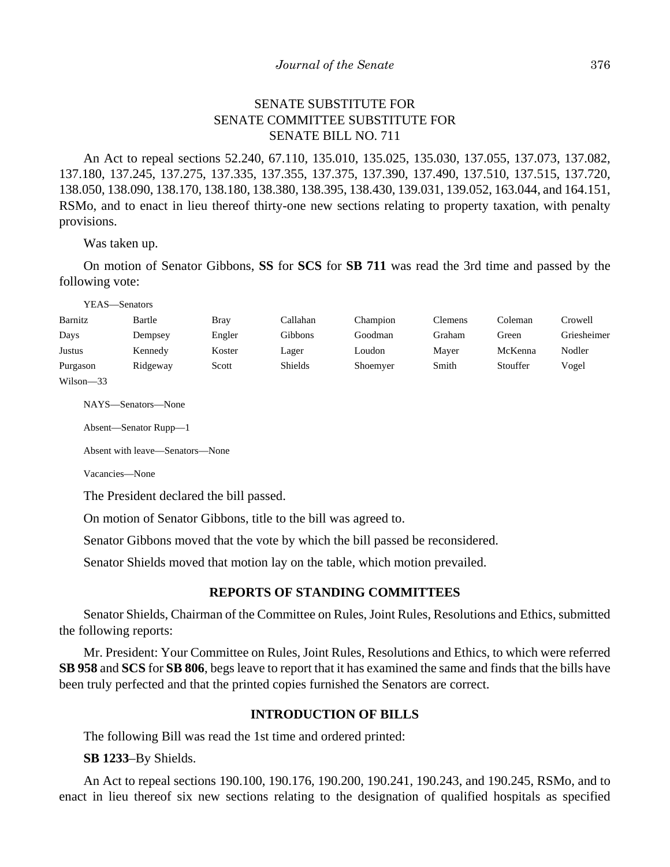# SENATE SUBSTITUTE FOR SENATE COMMITTEE SUBSTITUTE FOR SENATE BILL NO. 711

An Act to repeal sections 52.240, 67.110, 135.010, 135.025, 135.030, 137.055, 137.073, 137.082, 137.180, 137.245, 137.275, 137.335, 137.355, 137.375, 137.390, 137.490, 137.510, 137.515, 137.720, 138.050, 138.090, 138.170, 138.180, 138.380, 138.395, 138.430, 139.031, 139.052, 163.044, and 164.151, RSMo, and to enact in lieu thereof thirty-one new sections relating to property taxation, with penalty provisions.

Was taken up.

On motion of Senator Gibbons, **SS** for **SCS** for **SB 711** was read the 3rd time and passed by the following vote:

YEAS—Senators

| Barnitz  | Bartle   | <b>Bray</b> | Callahan | Champion | <b>Clemens</b> | Coleman  | Crowell     |
|----------|----------|-------------|----------|----------|----------------|----------|-------------|
| Days     | Dempsey  | Engler      | Gibbons  | Goodman  | Graham         | Green    | Griesheimer |
| Justus   | Kennedy  | Koster      | Lager    | Loudon   | Mayer          | McKenna  | Nodler      |
| Purgason | Ridgeway | Scott       | Shields  | Shoemyer | Smith          | Stouffer | Vogel       |

Wilson—33

NAYS—Senators—None

Absent—Senator Rupp—1

Absent with leave—Senators—None

Vacancies—None

The President declared the bill passed.

On motion of Senator Gibbons, title to the bill was agreed to.

Senator Gibbons moved that the vote by which the bill passed be reconsidered.

Senator Shields moved that motion lay on the table, which motion prevailed.

#### **REPORTS OF STANDING COMMITTEES**

Senator Shields, Chairman of the Committee on Rules, Joint Rules, Resolutions and Ethics, submitted the following reports:

Mr. President: Your Committee on Rules, Joint Rules, Resolutions and Ethics, to which were referred **SB 958** and **SCS** for **SB 806**, begs leave to report that it has examined the same and finds that the bills have been truly perfected and that the printed copies furnished the Senators are correct.

# **INTRODUCTION OF BILLS**

The following Bill was read the 1st time and ordered printed:

**SB 1233**–By Shields.

An Act to repeal sections 190.100, 190.176, 190.200, 190.241, 190.243, and 190.245, RSMo, and to enact in lieu thereof six new sections relating to the designation of qualified hospitals as specified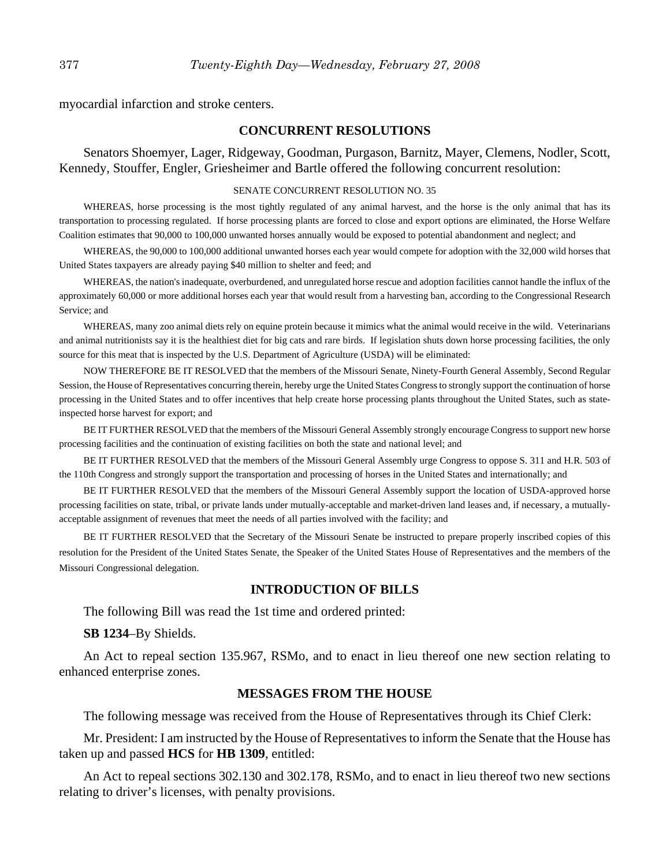myocardial infarction and stroke centers.

#### **CONCURRENT RESOLUTIONS**

Senators Shoemyer, Lager, Ridgeway, Goodman, Purgason, Barnitz, Mayer, Clemens, Nodler, Scott, Kennedy, Stouffer, Engler, Griesheimer and Bartle offered the following concurrent resolution:

#### SENATE CONCURRENT RESOLUTION NO. 35

WHEREAS, horse processing is the most tightly regulated of any animal harvest, and the horse is the only animal that has its transportation to processing regulated. If horse processing plants are forced to close and export options are eliminated, the Horse Welfare Coalition estimates that 90,000 to 100,000 unwanted horses annually would be exposed to potential abandonment and neglect; and

WHEREAS, the 90,000 to 100,000 additional unwanted horses each year would compete for adoption with the 32,000 wild horses that United States taxpayers are already paying \$40 million to shelter and feed; and

WHEREAS, the nation's inadequate, overburdened, and unregulated horse rescue and adoption facilities cannot handle the influx of the approximately 60,000 or more additional horses each year that would result from a harvesting ban, according to the Congressional Research Service; and

WHEREAS, many zoo animal diets rely on equine protein because it mimics what the animal would receive in the wild. Veterinarians and animal nutritionists say it is the healthiest diet for big cats and rare birds. If legislation shuts down horse processing facilities, the only source for this meat that is inspected by the U.S. Department of Agriculture (USDA) will be eliminated:

NOW THEREFORE BE IT RESOLVED that the members of the Missouri Senate, Ninety-Fourth General Assembly, Second Regular Session, the House of Representatives concurring therein, hereby urge the United States Congress to strongly support the continuation of horse processing in the United States and to offer incentives that help create horse processing plants throughout the United States, such as stateinspected horse harvest for export; and

BE IT FURTHER RESOLVED that the members of the Missouri General Assembly strongly encourage Congress to support new horse processing facilities and the continuation of existing facilities on both the state and national level; and

BE IT FURTHER RESOLVED that the members of the Missouri General Assembly urge Congress to oppose S. 311 and H.R. 503 of the 110th Congress and strongly support the transportation and processing of horses in the United States and internationally; and

BE IT FURTHER RESOLVED that the members of the Missouri General Assembly support the location of USDA-approved horse processing facilities on state, tribal, or private lands under mutually-acceptable and market-driven land leases and, if necessary, a mutuallyacceptable assignment of revenues that meet the needs of all parties involved with the facility; and

BE IT FURTHER RESOLVED that the Secretary of the Missouri Senate be instructed to prepare properly inscribed copies of this resolution for the President of the United States Senate, the Speaker of the United States House of Representatives and the members of the Missouri Congressional delegation.

#### **INTRODUCTION OF BILLS**

The following Bill was read the 1st time and ordered printed:

**SB 1234**–By Shields.

An Act to repeal section 135.967, RSMo, and to enact in lieu thereof one new section relating to enhanced enterprise zones.

#### **MESSAGES FROM THE HOUSE**

The following message was received from the House of Representatives through its Chief Clerk:

Mr. President: I am instructed by the House of Representatives to inform the Senate that the House has taken up and passed **HCS** for **HB 1309**, entitled:

An Act to repeal sections 302.130 and 302.178, RSMo, and to enact in lieu thereof two new sections relating to driver's licenses, with penalty provisions.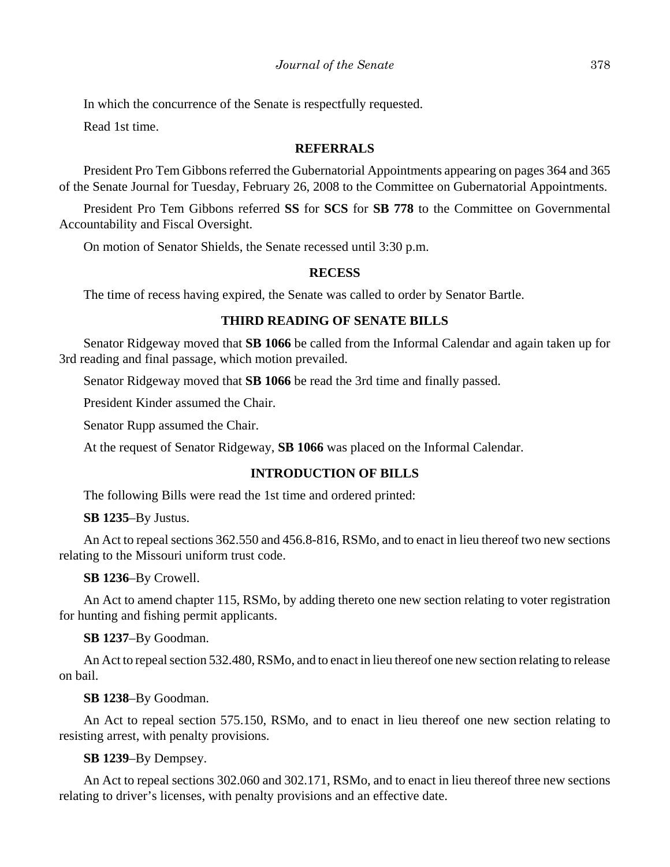In which the concurrence of the Senate is respectfully requested.

Read 1st time.

#### **REFERRALS**

President Pro Tem Gibbons referred the Gubernatorial Appointments appearing on pages 364 and 365 of the Senate Journal for Tuesday, February 26, 2008 to the Committee on Gubernatorial Appointments.

President Pro Tem Gibbons referred **SS** for **SCS** for **SB 778** to the Committee on Governmental Accountability and Fiscal Oversight.

On motion of Senator Shields, the Senate recessed until 3:30 p.m.

## **RECESS**

The time of recess having expired, the Senate was called to order by Senator Bartle.

# **THIRD READING OF SENATE BILLS**

Senator Ridgeway moved that **SB 1066** be called from the Informal Calendar and again taken up for 3rd reading and final passage, which motion prevailed.

Senator Ridgeway moved that **SB 1066** be read the 3rd time and finally passed.

President Kinder assumed the Chair.

Senator Rupp assumed the Chair.

At the request of Senator Ridgeway, **SB 1066** was placed on the Informal Calendar.

# **INTRODUCTION OF BILLS**

The following Bills were read the 1st time and ordered printed:

**SB 1235**–By Justus.

An Act to repeal sections 362.550 and 456.8-816, RSMo, and to enact in lieu thereof two new sections relating to the Missouri uniform trust code.

**SB 1236**–By Crowell.

An Act to amend chapter 115, RSMo, by adding thereto one new section relating to voter registration for hunting and fishing permit applicants.

**SB 1237**–By Goodman.

An Act to repeal section 532.480, RSMo, and to enact in lieu thereof one new section relating to release on bail.

**SB 1238**–By Goodman.

An Act to repeal section 575.150, RSMo, and to enact in lieu thereof one new section relating to resisting arrest, with penalty provisions.

**SB 1239**–By Dempsey.

An Act to repeal sections 302.060 and 302.171, RSMo, and to enact in lieu thereof three new sections relating to driver's licenses, with penalty provisions and an effective date.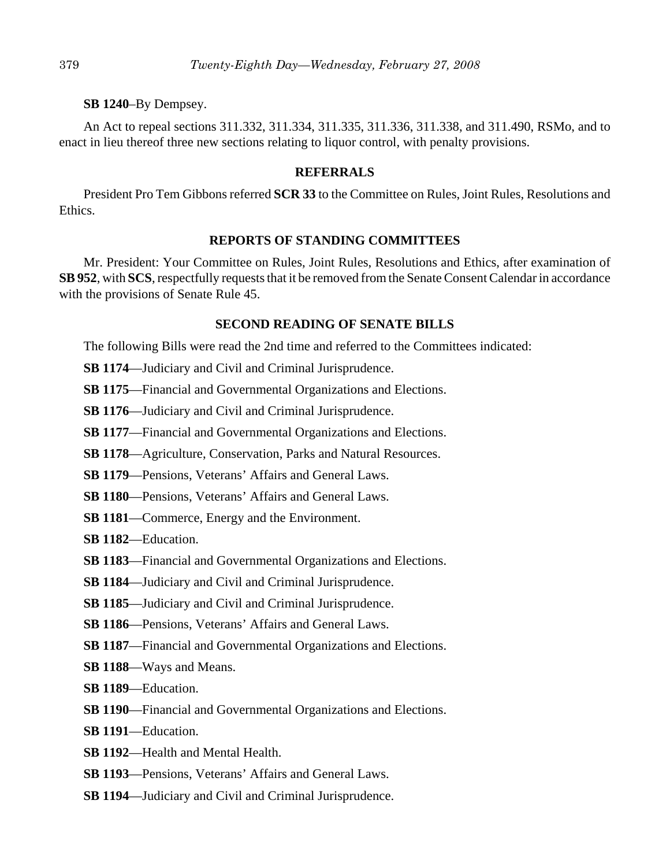#### **SB 1240**–By Dempsey.

An Act to repeal sections 311.332, 311.334, 311.335, 311.336, 311.338, and 311.490, RSMo, and to enact in lieu thereof three new sections relating to liquor control, with penalty provisions.

#### **REFERRALS**

President Pro Tem Gibbons referred **SCR 33** to the Committee on Rules, Joint Rules, Resolutions and Ethics.

#### **REPORTS OF STANDING COMMITTEES**

Mr. President: Your Committee on Rules, Joint Rules, Resolutions and Ethics, after examination of **SB 952**, with **SCS**, respectfully requests that it be removed from the Senate Consent Calendar in accordance with the provisions of Senate Rule 45.

## **SECOND READING OF SENATE BILLS**

The following Bills were read the 2nd time and referred to the Committees indicated:

**SB 1174**—Judiciary and Civil and Criminal Jurisprudence.

**SB 1175**—Financial and Governmental Organizations and Elections.

**SB 1176**—Judiciary and Civil and Criminal Jurisprudence.

**SB 1177**—Financial and Governmental Organizations and Elections.

**SB 1178**—Agriculture, Conservation, Parks and Natural Resources.

**SB 1179**—Pensions, Veterans' Affairs and General Laws.

**SB 1180**—Pensions, Veterans' Affairs and General Laws.

**SB 1181**—Commerce, Energy and the Environment.

**SB 1182**—Education.

- **SB 1183**—Financial and Governmental Organizations and Elections.
- **SB 1184**—Judiciary and Civil and Criminal Jurisprudence.

**SB 1185**—Judiciary and Civil and Criminal Jurisprudence.

**SB 1186**—Pensions, Veterans' Affairs and General Laws.

**SB 1187**—Financial and Governmental Organizations and Elections.

- **SB 1188**—Ways and Means.
- **SB 1189**—Education.
- **SB 1190**—Financial and Governmental Organizations and Elections.
- **SB 1191**—Education.
- **SB 1192**—Health and Mental Health.
- **SB 1193**—Pensions, Veterans' Affairs and General Laws.
- **SB 1194**—Judiciary and Civil and Criminal Jurisprudence.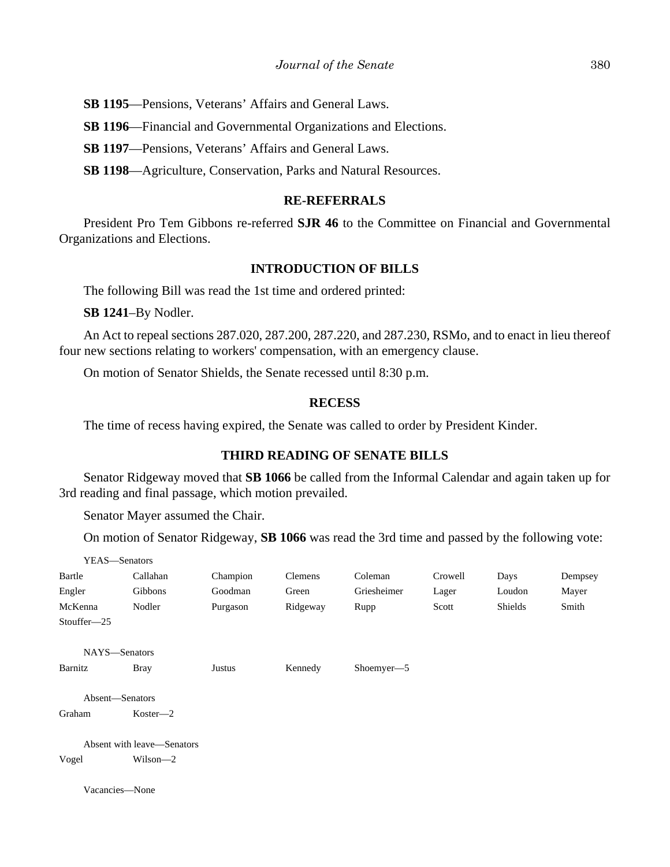**SB 1195**—Pensions, Veterans' Affairs and General Laws.

**SB 1196**—Financial and Governmental Organizations and Elections.

**SB 1197**—Pensions, Veterans' Affairs and General Laws.

**SB 1198**—Agriculture, Conservation, Parks and Natural Resources.

# **RE-REFERRALS**

President Pro Tem Gibbons re-referred **SJR 46** to the Committee on Financial and Governmental Organizations and Elections.

#### **INTRODUCTION OF BILLS**

The following Bill was read the 1st time and ordered printed:

**SB 1241**–By Nodler.

An Act to repeal sections 287.020, 287.200, 287.220, and 287.230, RSMo, and to enact in lieu thereof four new sections relating to workers' compensation, with an emergency clause.

On motion of Senator Shields, the Senate recessed until 8:30 p.m.

## **RECESS**

The time of recess having expired, the Senate was called to order by President Kinder.

#### **THIRD READING OF SENATE BILLS**

Senator Ridgeway moved that **SB 1066** be called from the Informal Calendar and again taken up for 3rd reading and final passage, which motion prevailed.

Senator Mayer assumed the Chair.

 $\mathbf{y}$   $\mathbf{y}$   $\mathbf{z}$   $\mathbf{z}$ 

On motion of Senator Ridgeway, **SB 1066** was read the 3rd time and passed by the following vote:

| YEAS—Senators   |                            |          |          |             |         |         |         |
|-----------------|----------------------------|----------|----------|-------------|---------|---------|---------|
| Bartle          | Callahan                   | Champion | Clemens  | Coleman     | Crowell | Days    | Dempsey |
| Engler          | Gibbons                    | Goodman  | Green    | Griesheimer | Lager   | Loudon  | Mayer   |
| McKenna         | Nodler                     | Purgason | Ridgeway | Rupp        | Scott   | Shields | Smith   |
| Stouffer-25     |                            |          |          |             |         |         |         |
| NAYS-Senators   |                            |          |          |             |         |         |         |
| Barnitz         | <b>Bray</b>                | Justus   | Kennedy  | Shoemyer-5  |         |         |         |
| Absent-Senators |                            |          |          |             |         |         |         |
| Graham          | $Koster - 2$               |          |          |             |         |         |         |
|                 | Absent with leave—Senators |          |          |             |         |         |         |
| Vogel           | Wilson-2                   |          |          |             |         |         |         |
| Vacancies-None  |                            |          |          |             |         |         |         |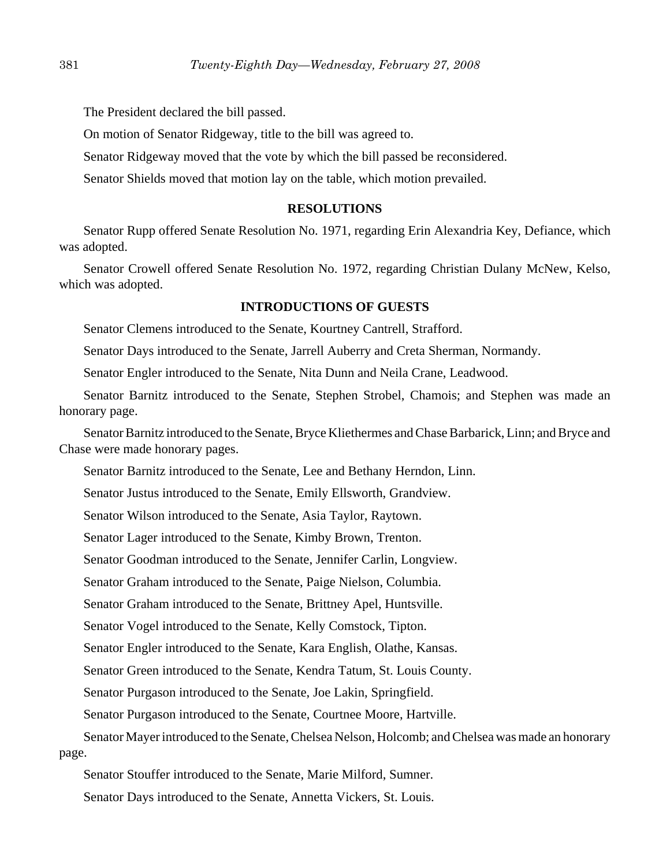The President declared the bill passed.

On motion of Senator Ridgeway, title to the bill was agreed to.

Senator Ridgeway moved that the vote by which the bill passed be reconsidered.

Senator Shields moved that motion lay on the table, which motion prevailed.

#### **RESOLUTIONS**

Senator Rupp offered Senate Resolution No. 1971, regarding Erin Alexandria Key, Defiance, which was adopted.

Senator Crowell offered Senate Resolution No. 1972, regarding Christian Dulany McNew, Kelso, which was adopted.

# **INTRODUCTIONS OF GUESTS**

Senator Clemens introduced to the Senate, Kourtney Cantrell, Strafford.

Senator Days introduced to the Senate, Jarrell Auberry and Creta Sherman, Normandy.

Senator Engler introduced to the Senate, Nita Dunn and Neila Crane, Leadwood.

Senator Barnitz introduced to the Senate, Stephen Strobel, Chamois; and Stephen was made an honorary page.

Senator Barnitz introduced to the Senate, Bryce Kliethermes and Chase Barbarick, Linn; and Bryce and Chase were made honorary pages.

Senator Barnitz introduced to the Senate, Lee and Bethany Herndon, Linn.

Senator Justus introduced to the Senate, Emily Ellsworth, Grandview.

Senator Wilson introduced to the Senate, Asia Taylor, Raytown.

Senator Lager introduced to the Senate, Kimby Brown, Trenton.

Senator Goodman introduced to the Senate, Jennifer Carlin, Longview.

Senator Graham introduced to the Senate, Paige Nielson, Columbia.

Senator Graham introduced to the Senate, Brittney Apel, Huntsville.

Senator Vogel introduced to the Senate, Kelly Comstock, Tipton.

Senator Engler introduced to the Senate, Kara English, Olathe, Kansas.

Senator Green introduced to the Senate, Kendra Tatum, St. Louis County.

Senator Purgason introduced to the Senate, Joe Lakin, Springfield.

Senator Purgason introduced to the Senate, Courtnee Moore, Hartville.

Senator Mayer introduced to the Senate, Chelsea Nelson, Holcomb; and Chelsea was made an honorary page.

Senator Stouffer introduced to the Senate, Marie Milford, Sumner.

Senator Days introduced to the Senate, Annetta Vickers, St. Louis.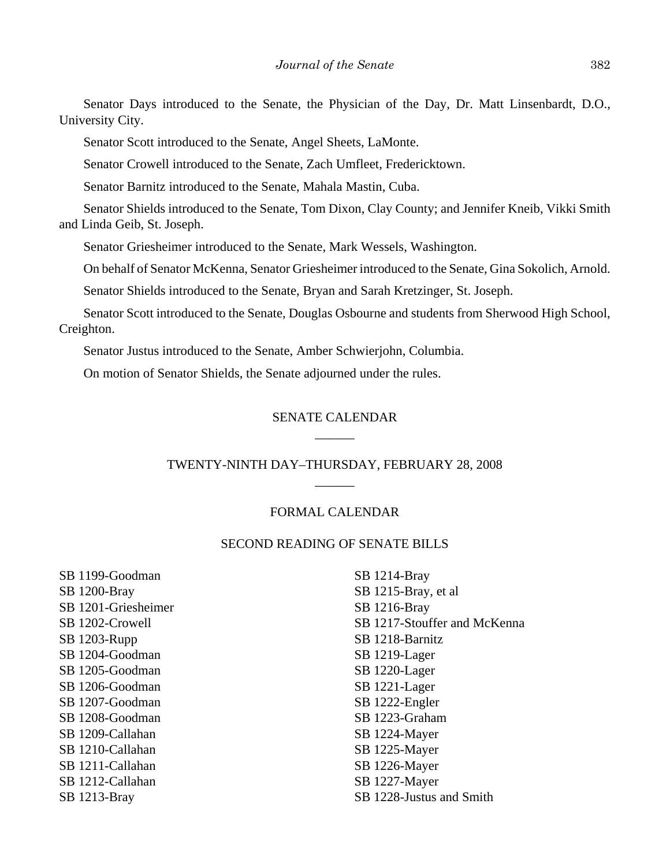Senator Days introduced to the Senate, the Physician of the Day, Dr. Matt Linsenbardt, D.O., University City.

Senator Scott introduced to the Senate, Angel Sheets, LaMonte.

Senator Crowell introduced to the Senate, Zach Umfleet, Fredericktown.

Senator Barnitz introduced to the Senate, Mahala Mastin, Cuba.

Senator Shields introduced to the Senate, Tom Dixon, Clay County; and Jennifer Kneib, Vikki Smith and Linda Geib, St. Joseph.

Senator Griesheimer introduced to the Senate, Mark Wessels, Washington.

On behalf of Senator McKenna, Senator Griesheimer introduced to the Senate, Gina Sokolich, Arnold.

Senator Shields introduced to the Senate, Bryan and Sarah Kretzinger, St. Joseph.

Senator Scott introduced to the Senate, Douglas Osbourne and students from Sherwood High School, Creighton.

Senator Justus introduced to the Senate, Amber Schwierjohn, Columbia.

On motion of Senator Shields, the Senate adjourned under the rules.

# SENATE CALENDAR \_\_\_\_\_\_

# TWENTY-NINTH DAY–THURSDAY, FEBRUARY 28, 2008  $\overline{\phantom{a}}$

#### FORMAL CALENDAR

#### SECOND READING OF SENATE BILLS

SB 1199-Goodman SB 1200-Bray SB 1201-Griesheimer SB 1202-Crowell SB 1203-Rupp SB 1204-Goodman SB 1205-Goodman SB 1206-Goodman SB 1207-Goodman SB 1208-Goodman SB 1209-Callahan SB 1210-Callahan SB 1211-Callahan SB 1212-Callahan SB 1213-Bray

SB 1214-Bray SB 1215-Bray, et al SB 1216-Bray SB 1217-Stouffer and McKenna SB 1218-Barnitz SB 1219-Lager SB 1220-Lager SB 1221-Lager SB 1222-Engler SB 1223-Graham SB 1224-Mayer SB 1225-Mayer SB 1226-Mayer SB 1227-Mayer SB 1228-Justus and Smith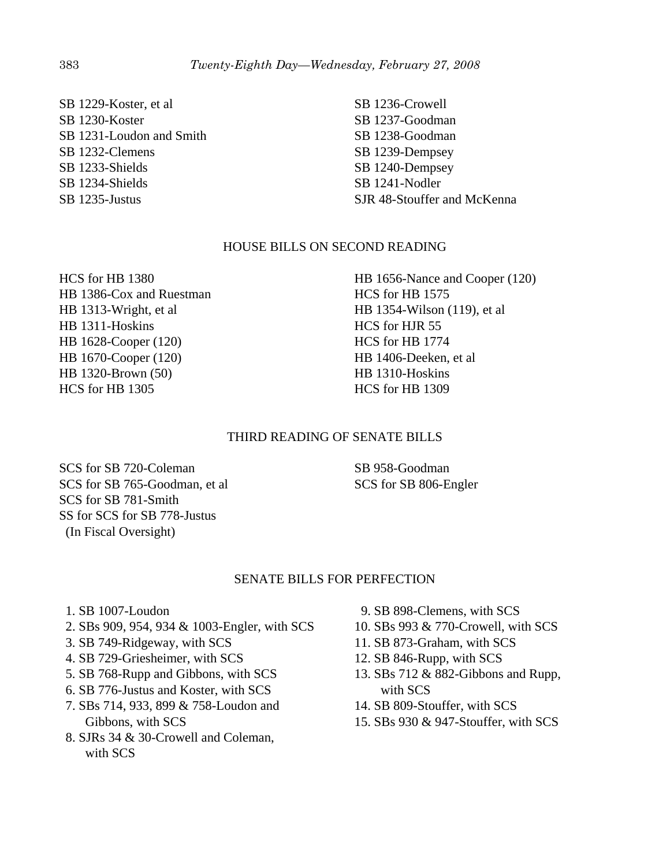SB 1229-Koster, et al SB 1230-Koster SB 1231-Loudon and Smith SB 1232-Clemens SB 1233-Shields SB 1234-Shields SB 1235-Justus

SB 1236-Crowell SB 1237-Goodman SB 1238-Goodman SB 1239-Dempsey SB 1240-Dempsey SB 1241-Nodler SJR 48-Stouffer and McKenna

# HOUSE BILLS ON SECOND READING

HCS for HB 1380 HB 1386-Cox and Ruestman HB 1313-Wright, et al HB 1311-Hoskins HB 1628-Cooper (120) HB 1670-Cooper (120) HB 1320-Brown (50) HCS for HB 1305

HB 1656-Nance and Cooper (120) HCS for HB 1575 HB 1354-Wilson (119), et al HCS for HJR 55 HCS for HB 1774 HB 1406-Deeken, et al HB 1310-Hoskins HCS for HB 1309

# THIRD READING OF SENATE BILLS

SCS for SB 720-Coleman SCS for SB 765-Goodman, et al SCS for SB 781-Smith SS for SCS for SB 778-Justus (In Fiscal Oversight)

SB 958-Goodman SCS for SB 806-Engler

## SENATE BILLS FOR PERFECTION

- 1. SB 1007-Loudon
- 2. SBs 909, 954, 934 & 1003-Engler, with SCS
- 3. SB 749-Ridgeway, with SCS
- 4. SB 729-Griesheimer, with SCS
- 5. SB 768-Rupp and Gibbons, with SCS
- 6. SB 776-Justus and Koster, with SCS
- 7. SBs 714, 933, 899 & 758-Loudon and Gibbons, with SCS
- 8. SJRs 34 & 30-Crowell and Coleman, with SCS
- 9. SB 898-Clemens, with SCS
- 10. SBs 993 & 770-Crowell, with SCS
- 11. SB 873-Graham, with SCS
- 12. SB 846-Rupp, with SCS
- 13. SBs 712 & 882-Gibbons and Rupp, with SCS
- 14. SB 809-Stouffer, with SCS
- 15. SBs 930 & 947-Stouffer, with SCS